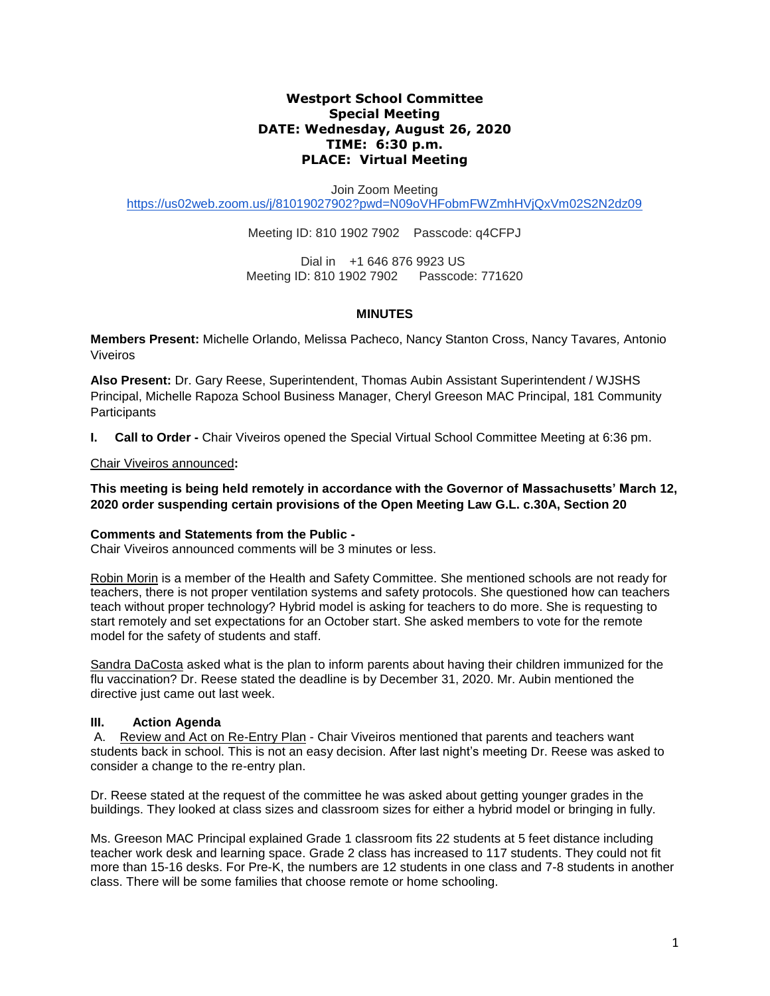## **Westport School Committee Special Meeting DATE: Wednesday, August 26, 2020 TIME: 6:30 p.m. PLACE: Virtual Meeting**

Join Zoom Meeting

<https://us02web.zoom.us/j/81019027902?pwd=N09oVHFobmFWZmhHVjQxVm02S2N2dz09>

Meeting ID: 810 1902 7902 Passcode: q4CFPJ

Dial in +1 646 876 9923 US Meeting ID: 810 1902 7902 Passcode: 771620

## **MINUTES**

**Members Present:** Michelle Orlando, Melissa Pacheco, Nancy Stanton Cross, Nancy Tavares*,* Antonio Viveiros

**Also Present:** Dr. Gary Reese, Superintendent, Thomas Aubin Assistant Superintendent / WJSHS Principal, Michelle Rapoza School Business Manager, Cheryl Greeson MAC Principal, 181 Community **Participants** 

**I. Call to Order -** Chair Viveiros opened the Special Virtual School Committee Meeting at 6:36 pm.

Chair Viveiros announced**:** 

**This meeting is being held remotely in accordance with the Governor of Massachusetts' March 12, 2020 order suspending certain provisions of the Open Meeting Law G.L. c.30A, Section 20**

## **Comments and Statements from the Public -**

Chair Viveiros announced comments will be 3 minutes or less.

Robin Morin is a member of the Health and Safety Committee. She mentioned schools are not ready for teachers, there is not proper ventilation systems and safety protocols. She questioned how can teachers teach without proper technology? Hybrid model is asking for teachers to do more. She is requesting to start remotely and set expectations for an October start. She asked members to vote for the remote model for the safety of students and staff.

Sandra DaCosta asked what is the plan to inform parents about having their children immunized for the flu vaccination? Dr. Reese stated the deadline is by December 31, 2020. Mr. Aubin mentioned the directive just came out last week.

## **III. Action Agenda**

A. Review and Act on Re-Entry Plan - Chair Viveiros mentioned that parents and teachers want students back in school. This is not an easy decision. After last night's meeting Dr. Reese was asked to consider a change to the re-entry plan.

Dr. Reese stated at the request of the committee he was asked about getting younger grades in the buildings. They looked at class sizes and classroom sizes for either a hybrid model or bringing in fully.

Ms. Greeson MAC Principal explained Grade 1 classroom fits 22 students at 5 feet distance including teacher work desk and learning space. Grade 2 class has increased to 117 students. They could not fit more than 15-16 desks. For Pre-K, the numbers are 12 students in one class and 7-8 students in another class. There will be some families that choose remote or home schooling.